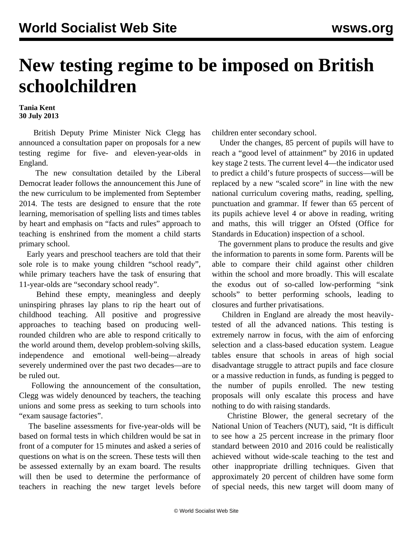## **New testing regime to be imposed on British schoolchildren**

**Tania Kent 30 July 2013**

 British Deputy Prime Minister Nick Clegg has announced a consultation paper on proposals for a new testing regime for five- and eleven-year-olds in England.

 The new consultation detailed by the Liberal Democrat leader follows the announcement this June of the new curriculum to be implemented from September 2014. The tests are designed to ensure that the rote learning, memorisation of spelling lists and times tables by heart and emphasis on "facts and rules" approach to teaching is enshrined from the moment a child starts primary school.

 Early years and preschool teachers are told that their sole role is to make young children "school ready", while primary teachers have the task of ensuring that 11-year-olds are "secondary school ready".

 Behind these empty, meaningless and deeply uninspiring phrases lay plans to rip the heart out of childhood teaching. All positive and progressive approaches to teaching based on producing wellrounded children who are able to respond critically to the world around them, develop problem-solving skills, independence and emotional well-being—already severely undermined over the past two decades—are to be ruled out.

 Following the announcement of the consultation, Clegg was widely denounced by teachers, the teaching unions and some press as seeking to turn schools into "exam sausage factories".

 The baseline assessments for five-year-olds will be based on formal tests in which children would be sat in front of a computer for 15 minutes and asked a series of questions on what is on the screen. These tests will then be assessed externally by an exam board. The results will then be used to determine the performance of teachers in reaching the new target levels before

children enter secondary school.

 Under the changes, 85 percent of pupils will have to reach a "good level of attainment" by 2016 in updated key stage 2 tests. The current level 4—the indicator used to predict a child's future prospects of success—will be replaced by a new "scaled score" in line with the new national curriculum covering maths, reading, spelling, punctuation and grammar. If fewer than 65 percent of its pupils achieve level 4 or above in reading, writing and maths, this will trigger an Ofsted (Office for Standards in Education) inspection of a school.

 The government plans to produce the results and give the information to parents in some form. Parents will be able to compare their child against other children within the school and more broadly. This will escalate the exodus out of so-called low-performing "sink schools" to better performing schools, leading to closures and further privatisations.

 Children in England are already the most heavilytested of all the advanced nations. This testing is extremely narrow in focus, with the aim of enforcing selection and a class-based education system. League tables ensure that schools in areas of high social disadvantage struggle to attract pupils and face closure or a massive reduction in funds, as funding is pegged to the number of pupils enrolled. The new testing proposals will only escalate this process and have nothing to do with raising standards.

 Christine Blower, the general secretary of the National Union of Teachers (NUT), said, "It is difficult to see how a 25 percent increase in the primary floor standard between 2010 and 2016 could be realistically achieved without wide-scale teaching to the test and other inappropriate drilling techniques. Given that approximately 20 percent of children have some form of special needs, this new target will doom many of